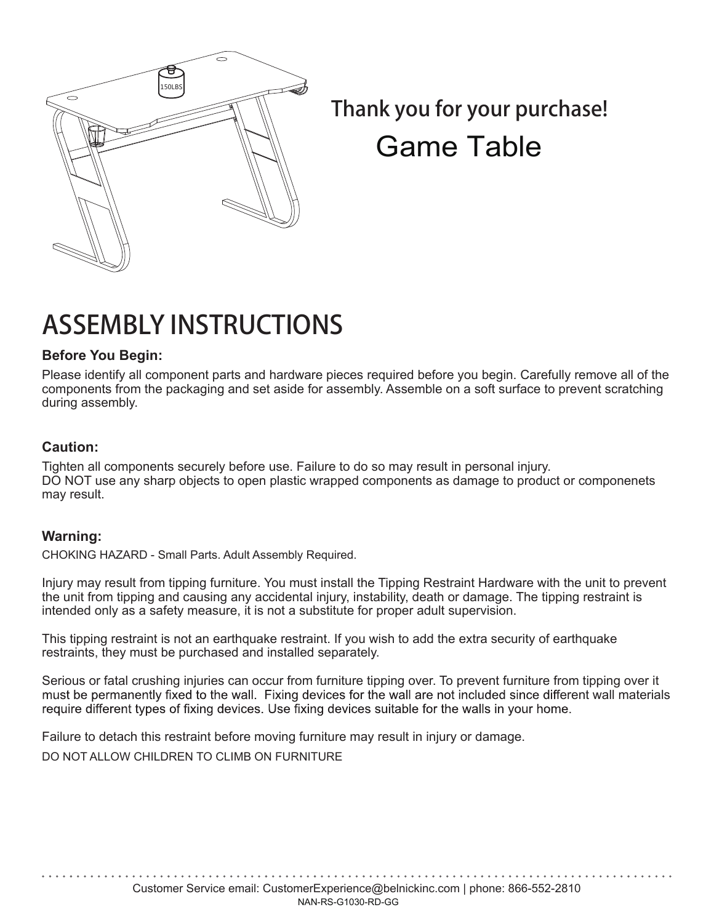

*Thank you for your purchase!* Game Table

# ASSEMBLY INSTRUCTIONS

#### **Before You Begin:**

Please identify all component parts and hardware pieces required before you begin. Carefully remove all of the components from the packaging and set aside for assembly. Assemble on a soft surface to prevent scratching during assembly.

#### **Caution:**

Tighten all components securely before use. Failure to do so may result in personal injury. DO NOT use any sharp objects to open plastic wrapped components as damage to product or componenets may result.

#### **Warning:**

CHOKING HAZARD - Small Parts. Adult Assembly Required.

Injury may result from tipping furniture. You must install the Tipping Restraint Hardware with the unit to prevent the unit from tipping and causing any accidental injury, instability, death or damage. The tipping restraint is intended only as a safety measure, it is not a substitute for proper adult supervision.

This tipping restraint is not an earthquake restraint. If you wish to add the extra security of earthquake restraints, they must be purchased and installed separately.

Serious or fatal crushing injuries can occur from furniture tipping over. To prevent furniture from tipping over it must be permanently fixed to the wall. Fixing devices for the wall are not included since different wall materials require different types of fixing devices. Use fixing devices suitable for the walls in your home.

Failure to detach this restraint before moving furniture may result in injury or damage.

DO NOT ALLOW CHILDREN TO CLIMB ON FURNITURE

Customer Service email: CustomerExperience@belnickinc.com | phone: 866-552-2810 NAN-RS-G1030-RD-GG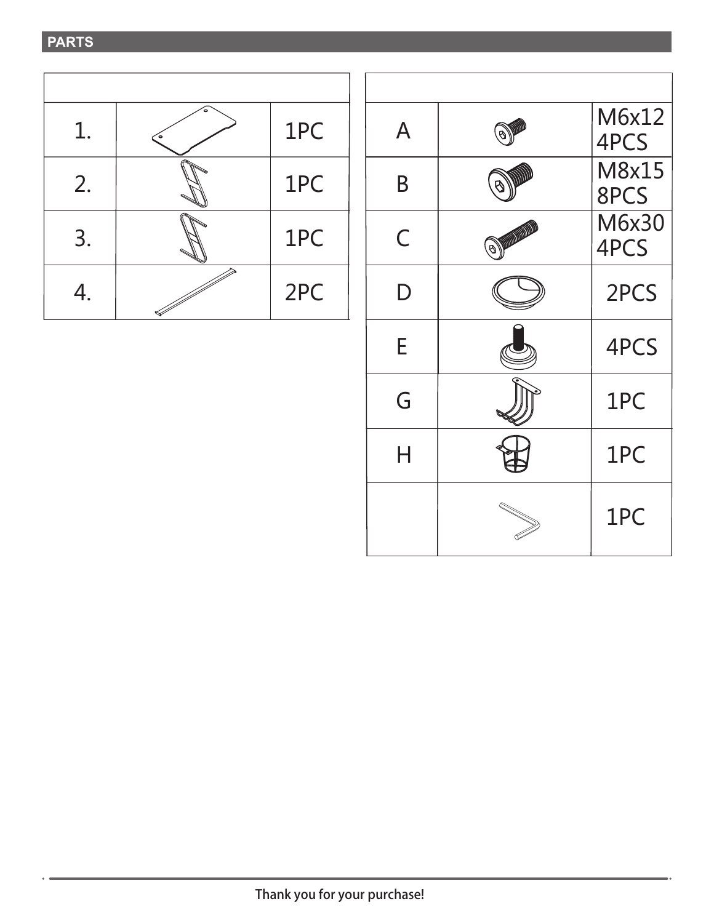### **PARTS**

|    | 1PC |
|----|-----|
| 2. | 1PC |
| 3. | 1PC |
|    | 2PC |

| A |                                 | M6x12<br>4PCS |
|---|---------------------------------|---------------|
| B |                                 | M8x15<br>8PCS |
| C | O DESCRIPTION OF REAL PROPERTY. | M6x30<br>4PCS |
| D |                                 | 2PCS          |
| E |                                 | 4PCS          |
| G |                                 | 1PC           |
| Н |                                 | 1PC           |
|   |                                 | 1PC           |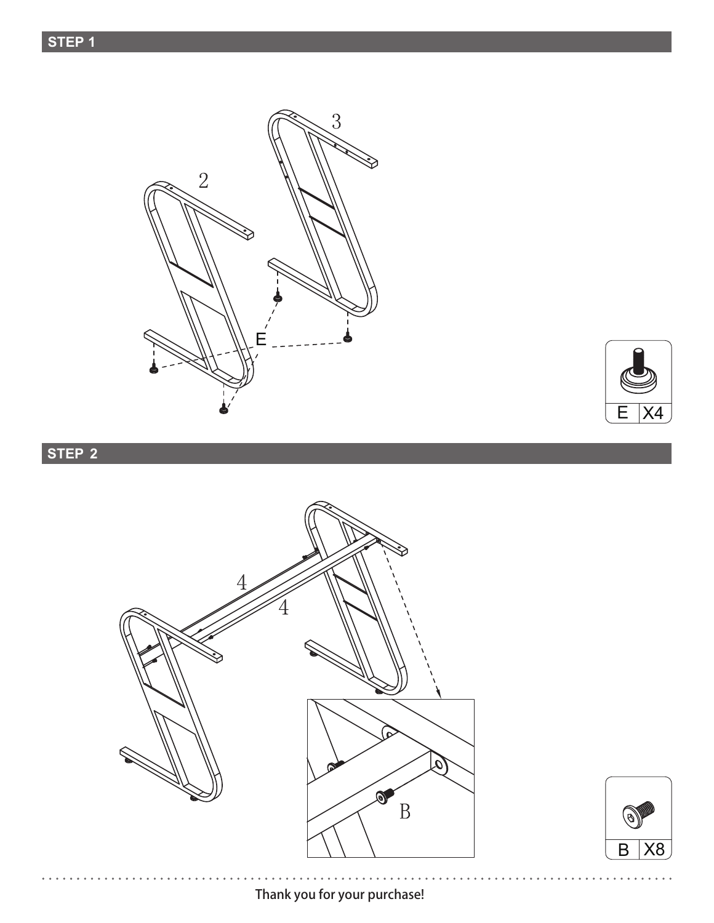**STEP 1**





## **STEP 2**





 $\ddot{\phantom{a}}$ 

*Thank you for your purchase!*